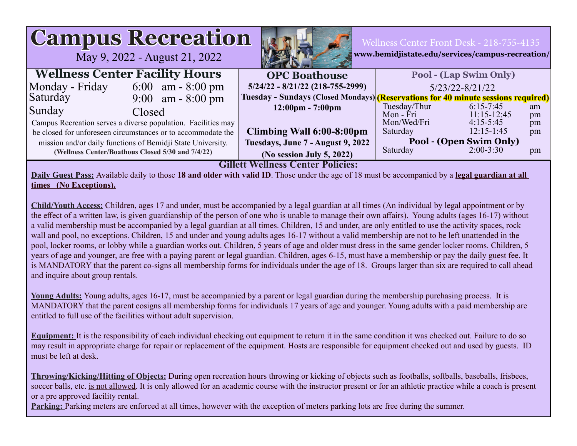| <b>Campus Recreation</b><br>Wellness Center Front Desk - 218-755-4135<br>www.bemidjistate.edu/services/campus-recreation/<br>May 9, 2022 - August 21, 2022                                                                                                                                                                                                                                                                                                                                                                                                                                                                                                                                                                                                                                                                                                                                                                                                                                                 |                                    |                                                                                                |          |  |  |  |  |  |
|------------------------------------------------------------------------------------------------------------------------------------------------------------------------------------------------------------------------------------------------------------------------------------------------------------------------------------------------------------------------------------------------------------------------------------------------------------------------------------------------------------------------------------------------------------------------------------------------------------------------------------------------------------------------------------------------------------------------------------------------------------------------------------------------------------------------------------------------------------------------------------------------------------------------------------------------------------------------------------------------------------|------------------------------------|------------------------------------------------------------------------------------------------|----------|--|--|--|--|--|
| <b>Wellness Center Facility Hours</b>                                                                                                                                                                                                                                                                                                                                                                                                                                                                                                                                                                                                                                                                                                                                                                                                                                                                                                                                                                      | <b>OPC Boathouse</b>               | <b>Pool - (Lap Swim Only)</b>                                                                  |          |  |  |  |  |  |
| Monday - Friday<br>6:00 am $-8:00 \text{ pm}$                                                                                                                                                                                                                                                                                                                                                                                                                                                                                                                                                                                                                                                                                                                                                                                                                                                                                                                                                              | $5/24/22 - 8/21/22$ (218-755-2999) | 5/23/22-8/21/22                                                                                |          |  |  |  |  |  |
| Saturday<br>9:00 am - 8:00 pm                                                                                                                                                                                                                                                                                                                                                                                                                                                                                                                                                                                                                                                                                                                                                                                                                                                                                                                                                                              |                                    | Tuesday - Sundays (Closed Mondays) <mark>(Reservations for 40 minute sessions required)</mark> |          |  |  |  |  |  |
| Sunday<br>Closed                                                                                                                                                                                                                                                                                                                                                                                                                                                                                                                                                                                                                                                                                                                                                                                                                                                                                                                                                                                           | $12:00 \text{pm} - 7:00 \text{pm}$ | Tuesday/Thur<br>$6:15-7:45$                                                                    | am       |  |  |  |  |  |
| Campus Recreation serves a diverse population. Facilities may                                                                                                                                                                                                                                                                                                                                                                                                                                                                                                                                                                                                                                                                                                                                                                                                                                                                                                                                              |                                    | $11:15-12:45$<br>Mon - Fri<br>Mon/Wed/Fri<br>$4:15-5:45$                                       | pm<br>pm |  |  |  |  |  |
| be closed for unforeseen circumstances or to accommodate the                                                                                                                                                                                                                                                                                                                                                                                                                                                                                                                                                                                                                                                                                                                                                                                                                                                                                                                                               | Climbing Wall 6:00-8:00pm          | $12:15-1:45$<br>Saturday                                                                       | pm       |  |  |  |  |  |
| mission and/or daily functions of Bemidji State University.                                                                                                                                                                                                                                                                                                                                                                                                                                                                                                                                                                                                                                                                                                                                                                                                                                                                                                                                                | Tuesdays, June 7 - August 9, 2022  | Pool - (Open Swim Only)                                                                        |          |  |  |  |  |  |
| (Wellness Center/Boathous Closed 5/30 and 7/4/22)                                                                                                                                                                                                                                                                                                                                                                                                                                                                                                                                                                                                                                                                                                                                                                                                                                                                                                                                                          | (No session July 5, 2022)          | Saturday<br>$2:00-3:30$                                                                        | pm       |  |  |  |  |  |
| <b>Gillett Wellness Center Policies:</b><br>Daily Guest Pass: Available daily to those 18 and older with valid ID. Those under the age of 18 must be accompanied by a legal guardian at all<br>times (No Exceptions).<br><b>Child/Youth Access:</b> Children, ages 17 and under, must be accompanied by a legal guardian at all times (An individual by legal appointment or by<br>the effect of a written law, is given guardianship of the person of one who is unable to manage their own affairs). Young adults (ages 16-17) without<br>a valid membership must be accompanied by a legal guardian at all times. Children, 15 and under, are only entitled to use the activity spaces, rock<br>wall and pool, no exceptions. Children, 15 and under and young adults ages 16-17 without a valid membership are not to be left unattended in the<br>pool, locker rooms, or lobby while a guardian works out. Children, 5 years of age and older must dress in the same gender locker rooms. Children, 5 |                                    |                                                                                                |          |  |  |  |  |  |
| years of age and younger, are free with a paying parent or legal guardian. Children, ages 6-15, must have a membership or pay the daily guest fee. It<br>is MANDATORY that the parent co-signs all membership forms for individuals under the age of 18. Groups larger than six are required to call ahead<br>and inquire about group rentals.                                                                                                                                                                                                                                                                                                                                                                                                                                                                                                                                                                                                                                                             |                                    |                                                                                                |          |  |  |  |  |  |

 **Young Adults:** Young adults, ages 16-17, must be accompanied by a parent or legal guardian during the membership purchasing process. It is MANDATORY that the parent cosigns all membership forms for individuals 17 years of age and younger. Young adults with a paid membership are entitled to full use of the facilities without adult supervision.

**Equipment:** It is the responsibility of each individual checking out equipment to return it in the same condition it was checked out. Failure to do so may result in appropriate charge for repair or replacement of the equipment. Hosts are responsible for equipment checked out and used by guests. ID must be left at desk.

 **Throwing/Kicking/Hitting of Objects:** During open recreation hours throwing or kicking of objects such as footballs, softballs, baseballs, frisbees, soccer balls, etc. is not allowed. It is only allowed for an academic course with the instructor present or for an athletic practice while a coach is present or a pre approved facility rental.

**Parking:** Parking meters are enforced at all times, however with the exception of meters parking lots are free during the summer.